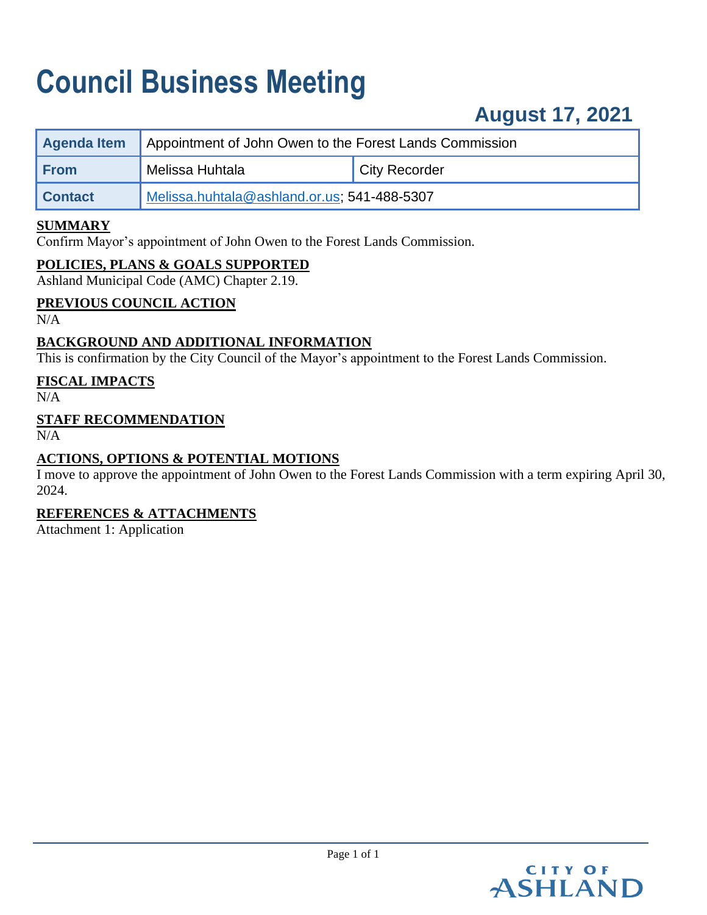# **Council Business Meeting**

# **August 17, 2021**

| Agenda Item    | Appointment of John Owen to the Forest Lands Commission |               |
|----------------|---------------------------------------------------------|---------------|
| <b>From</b>    | <sup>1</sup> Melissa Huhtala                            | City Recorder |
| <b>Contact</b> | Melissa.huhtala@ashland.or.us; 541-488-5307             |               |

# **SUMMARY**

Confirm Mayor's appointment of John Owen to the Forest Lands Commission.

### **POLICIES, PLANS & GOALS SUPPORTED**

Ashland Municipal Code (AMC) Chapter 2.19.

### **PREVIOUS COUNCIL ACTION**

N/A

# **BACKGROUND AND ADDITIONAL INFORMATION**

This is confirmation by the City Council of the Mayor's appointment to the Forest Lands Commission.

### **FISCAL IMPACTS**

 $N/A$ 

# **STAFF RECOMMENDATION**

 $N/A$ 

# **ACTIONS, OPTIONS & POTENTIAL MOTIONS**

I move to approve the appointment of John Owen to the Forest Lands Commission with a term expiring April 30, 2024.

# **REFERENCES & ATTACHMENTS**

Attachment 1: Application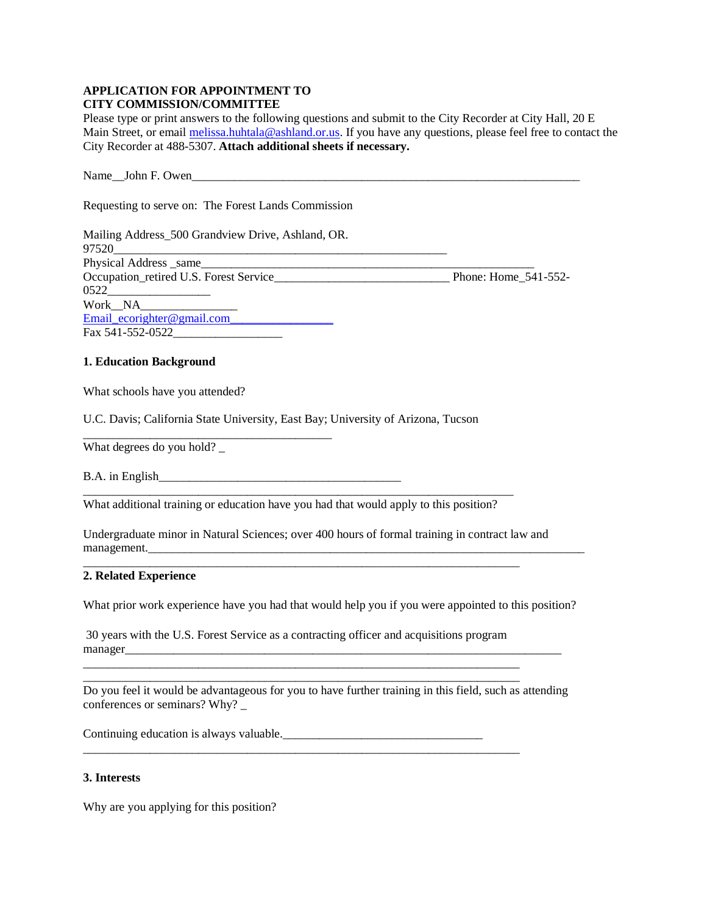#### **APPLICATION FOR APPOINTMENT TO CITY COMMISSION/COMMITTEE**

Please type or print answers to the following questions and submit to the City Recorder at City Hall, 20 E Main Street, or email [melissa.huhtala@ashland.or.us.](mailto:melissa.huhtala@ashland.or.us) If you have any questions, please feel free to contact the City Recorder at 488-5307. **Attach additional sheets if necessary.**

Name\_\_John F. Owen\_\_\_\_\_\_\_\_\_\_\_\_\_\_\_\_\_\_\_\_\_\_\_\_\_\_\_\_\_\_\_\_\_\_\_\_\_\_\_\_\_\_\_\_\_\_\_\_\_\_\_\_\_\_\_\_\_\_\_\_\_\_\_\_

Requesting to serve on: The Forest Lands Commission

| Mailing Address_500 Grandview Drive, Ashland, OR. |                      |
|---------------------------------------------------|----------------------|
| 97520                                             |                      |
|                                                   |                      |
| Occupation_retired U.S. Forest Service_           | Phone: Home 541-552- |
| 0522                                              |                      |
| Work NA                                           |                      |
| Email $ecorighter@gmail.com$                      |                      |
| Fax 541-552-0522                                  |                      |

#### **1. Education Background**

What schools have you attended?

U.C. Davis; California State University, East Bay; University of Arizona, Tucson

What degrees do you hold?

B.A. in English\_\_\_\_\_\_\_\_\_\_\_\_\_\_\_\_\_\_\_\_\_\_\_\_\_\_\_\_\_\_\_\_\_\_\_\_\_\_\_\_

\_\_\_\_\_\_\_\_\_\_\_\_\_\_\_\_\_\_\_\_\_\_\_\_\_\_\_\_\_\_\_\_\_\_\_\_\_\_\_\_\_

\_\_\_\_\_\_\_\_\_\_\_\_\_\_\_\_\_\_\_\_\_\_\_\_\_\_\_\_\_\_\_\_\_\_\_\_\_\_\_\_\_\_\_\_\_\_\_\_\_\_\_\_\_\_\_\_\_\_\_\_\_\_\_\_\_\_\_\_\_\_\_ What additional training or education have you had that would apply to this position?

Undergraduate minor in Natural Sciences; over 400 hours of formal training in contract law and management.

\_\_\_\_\_\_\_\_\_\_\_\_\_\_\_\_\_\_\_\_\_\_\_\_\_\_\_\_\_\_\_\_\_\_\_\_\_\_\_\_\_\_\_\_\_\_\_\_\_\_\_\_\_\_\_\_\_\_\_\_\_\_\_\_\_\_\_\_\_\_\_\_

#### **2. Related Experience**

What prior work experience have you had that would help you if you were appointed to this position?

30 years with the U.S. Forest Service as a contracting officer and acquisitions program manager\_\_\_\_\_\_\_\_\_\_\_\_\_\_\_\_\_\_\_\_\_\_\_\_\_\_\_\_\_\_\_\_\_\_\_\_\_\_\_\_\_\_\_\_\_\_\_\_\_\_\_\_\_\_\_\_\_\_\_\_\_\_\_\_\_\_\_\_\_\_\_\_

\_\_\_\_\_\_\_\_\_\_\_\_\_\_\_\_\_\_\_\_\_\_\_\_\_\_\_\_\_\_\_\_\_\_\_\_\_\_\_\_\_\_\_\_\_\_\_\_\_\_\_\_\_\_\_\_\_\_\_\_\_\_\_\_\_\_\_\_\_\_\_\_

Do you feel it would be advantageous for you to have further training in this field, such as attending conferences or seminars? Why? \_

Continuing education is always valuable.

#### **3. Interests**

Why are you applying for this position?